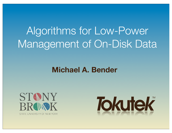# Algorithms for Low-Power Management of On-Disk Data

# **Michael A. Bender**



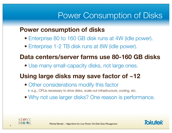# Power Consumption of Disks

#### **Power consumption of disks**

- Enterprise 80 to 160 GB disk runs at 4W (idle power).
- Enterprise 1-2 TB disk runs at 8W (idle power).

### **Data centers/server farms use 80-160 GB disks**

• Use many small-capacity disks, not large ones.

### **Using large disks may save factor of ~12**

- Other considerations modify this factor
	- ‣ e.g., CPUs necessary to drive disks, scale-out infrastructure, cooling, etc.
- Why not use larger disks? One reason is performance.



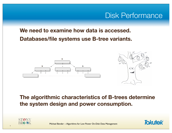# Disk Performance

#### **We need to examine how data is accessed. Databases/file systems use B-tree variants.**





**The algorithmic characteristics of B-trees determine the system design and power consumption.**



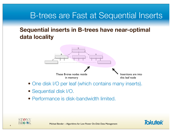# B-trees are Fast at Sequential Inserts

#### **Sequential inserts in B-trees have near-optimal data locality**



- One disk I/O per leaf (which contains many inserts).
- Sequential disk I/O.
- Performance is disk-bandwidth limited.



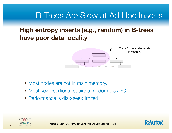# B-Trees Are Slow at Ad Hoc Inserts

### **High entropy inserts (e.g., random) in B-trees have poor data locality**



- Most nodes are not in main memory.
- Most key insertions require a random disk I/O.
- Performance is disk-seek limited.



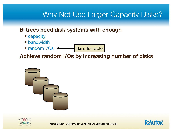# Why Not Use Larger-Capacity Disks?

#### **B-trees need disk systems with enough**

- capacity
- bandwidth
- random I/Os  $\leftarrow$ Hard for disks

#### **Achieve random I/Os by increasing number of disks**



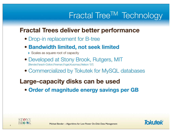# Fractal Tree<sup>TM</sup> Technology

### **Fractal Trees deliver better performance**

• Drop-in replacement for B-tree

#### **• Bandwidth limited, not seek limited**

- ▶ Scales as square root of capacity
- Developed at Stony Brook, Rutgers, MIT [Bender,Farach-Colton,Fineman,Fogel,Kuszmaul,Nelson '07]
- Commercialized by Tokutek for MySQL databases

### **Large-capacity disks can be used**

**• Order of magnitude energy savings per GB**



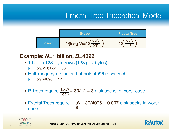# Fractal Tree Theoretical Model



#### **Example:** *N***=1 billion,** *B***=4096**

- 1 billion 128-byte rows (128 gigabytes)
	- $log<sub>2</sub>$  (1 billion) = 30
- Half-megabyte blocks that hold 4096 rows each
	- $log<sub>2</sub>$  (4096) = 12
- B-trees require  $\frac{\log N}{N}$  = 30/12 = 3 disk seeks in worst case log*B*
- Fractal Trees require  $logN = 30/4096 = 0.007$  disk seeks in worst case *B*



**8**

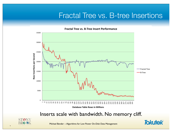## Fractal Tree vs. B-tree Insertions

**Fractal Tree vs. B-Tree Insert Performance** 35000 30000 25000 Row Insertions per Second **Row Insertions per Second** 20000 Fractal Tree 15000 B-Tree 10000 5000  $\Omega$  $\overline{ }$ '" \$#" %%" %(" &)" \*&" #!" #+" )\*" +\$" +'" '#" (%" ((" \$!)" \$\$&" \$%!" \$%+" \$&\*" \$\*\$" \$\*'" \$##" \$)%" \$)(" \$+)" \$'&" \$(!" \$(+" %!\*" %\$\$" %\$'" %%#" %&%" %&(" %\*)" %#&" %)!" %)+" %+\*" %'\$" %''" %(#"

**Database Table Rows in Millions** 

Inserts scale with bandwidth. No memory cliff.



**9**

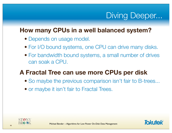# Diving Deeper...

### **How many CPUs in a well balanced system?**

- Depends on usage model.
- For I/O bound systems, one CPU can drive many disks.
- For bandwidth bound systems, a small number of drives can soak a CPU.

### **A Fractal Tree can use more CPUs per disk**

- So maybe the previous comparison isn't fair to B-trees...
- or maybe it isn't fair to Fractal Trees.



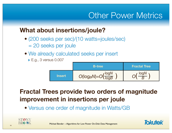# Other Power Metrics

### **What about insertions/joule?**

- (200 seeks per sec)/(10 watts=joules/sec) = 20 seeks per joule
- We already calculated seeks per insert
	- **► E.g., 3 versus 0.007**

|               | <b>B</b> -tree                              | <b>Fractal Tree</b> |
|---------------|---------------------------------------------|---------------------|
| <b>Insert</b> | $O(log_BN)=O\left(\frac{logN}{logB}\right)$ | logN                |

# **Fractal Trees provide two orders of magnitude improvement in insertions per joule**

• Versus one order of magnitude in Watts/GB



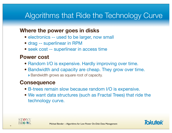# Algorithms that Ride the Technology Curve

#### **Where the power goes in disks**

- electronics -- used to be larger, now small
- drag -- superlinear in RPM
- seek cost -- superlinear in access time

#### **Power cost**

- Random I/O is expensive. Hardly improving over time.
- Bandwidth and capacity are cheap. They grow over time.
	- ▶ Bandwidth grows as square root of capacity.

#### **Consequence**

- B-trees remain slow because random I/O is expensive.
- We want data structures (such as Fractal Trees) that ride the technology curve.



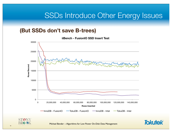# SSDs Introduce Other Energy Issues

#### **(But SSDs don't save B-trees)**